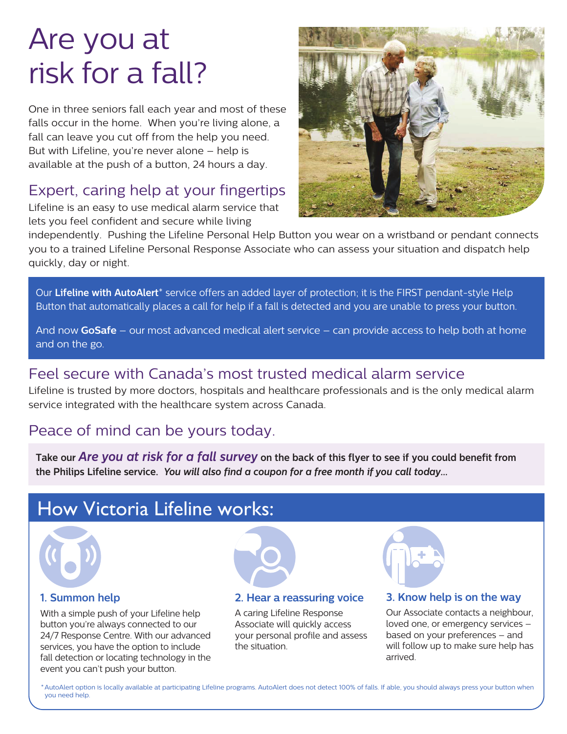# Are you at risk for a fall?

One in three seniors fall each year and most of these falls occur in the home. When you're living alone, a fall can leave you cut off from the help you need. But with Lifeline, you're never alone – help is available at the push of a button, 24 hours a day.

## Expert, caring help at your fingertips

Lifeline is an easy to use medical alarm service that lets you feel confident and secure while living



independently. Pushing the Lifeline Personal Help Button you wear on a wristband or pendant connects you to a trained Lifeline Personal Response Associate who can assess your situation and dispatch help quickly, day or night.

Our **Lifeline with AutoAlert**\* service offers an added layer of protection; it is the FIRST pendant-style Help Button that automatically places a call for help if a fall is detected and you are unable to press your button.

And now **GoSafe** – our most advanced medical alert service – can provide access to help both at home and on the go.

## Feel secure with Canada's most trusted medical alarm service

Lifeline is trusted by more doctors, hospitals and healthcare professionals and is the only medical alarm service integrated with the healthcare system across Canada.

### Peace of mind can be yours today.

**Take our** *Are you at risk for a fall survey* **on the back of this flyer to see if you could benefit from the Philips Lifeline service.** *You will also find a coupon for a free month if you call today...*

# How Victoria Lifeline works:



### **1. Summon help**

With a simple push of your Lifeline help button you're always connected to our 24/7 Response Centre. With our advanced services, you have the option to include fall detection or locating technology in the event you can't push your button.



#### **2. Hear a reassuring voice**

A caring Lifeline Response Associate will quickly access your personal profile and assess the situation.



### **3. Know help is on the way**

Our Associate contacts a neighbour, loved one, or emergency services – based on your preferences – and will follow up to make sure help has arrived.

\*AutoAlert option is locally available at participating Lifeline programs. AutoAlert does not detect 100% of falls. If able, you should always press your button when you need help.